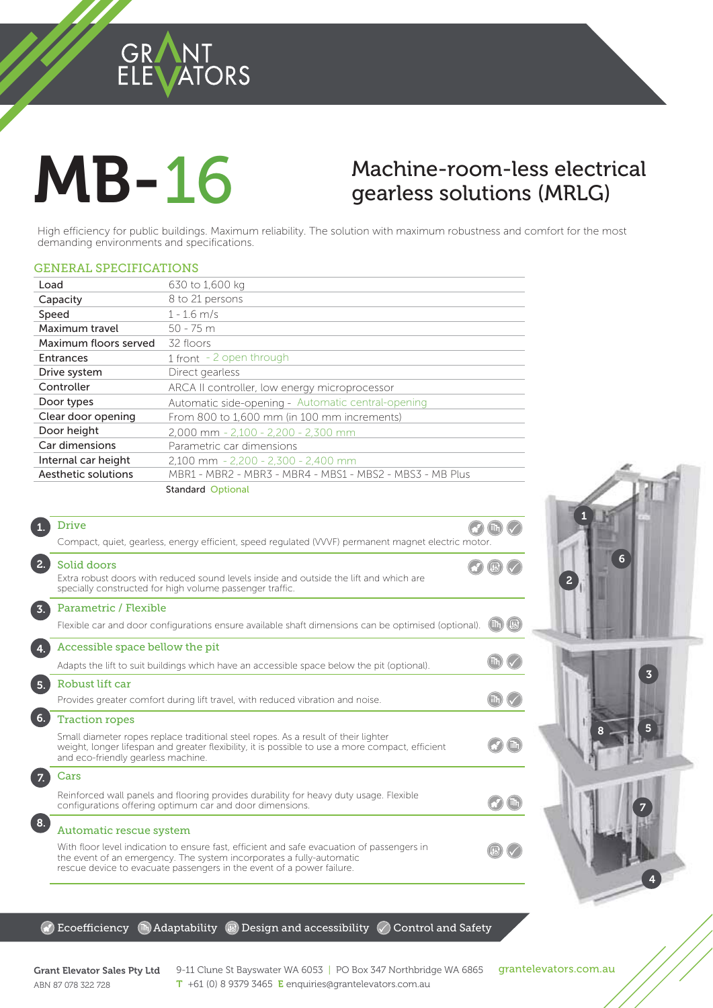### GRANT<br>ELEVATORS

# **MB-16**

## $g$ erless solutions (MRLG)

gearless solutions (MRLG)<br>buildings. Maximum reliability. The solution with maximum robustness and comfort for the most<br>and specifications. High efficiency for public buildings. Maximum reliability. The solution with maximum robustness and comfort for the most demanding environments and specifications.

#### GENERAL SPECIFICATIONS

| Clear door opening<br>Door height | From 800 to 1,600 mm (in 100 mm increments)        |
|-----------------------------------|----------------------------------------------------|
| Door types                        | Automatic side-opening - Automatic central-opening |
| Controller                        | ARCA II controller, low energy microprocessor      |
| Entrances<br>Drive system         | 1 front - 2 open through<br>Direct gearless        |
| Maximum floors served             | 32 floors                                          |
| Maximum travel                    | $50 - 75$ m                                        |
| Capacity<br>Speed                 | 8 to 21 persons<br>$1 - 1.6$ m/s                   |
| Load                              | 630 to 1,600 kg                                    |

|                  | <b>Drive</b><br>Compact, quiet, gearless, energy efficient, speed regulated (VVVF) permanent magnet electric motor.                                                                                                                                                    |  |
|------------------|------------------------------------------------------------------------------------------------------------------------------------------------------------------------------------------------------------------------------------------------------------------------|--|
| 2.               | Solid doors<br>Extra robust doors with reduced sound levels inside and outside the lift and which are<br>specially constructed for high volume passenger traffic.                                                                                                      |  |
| $\overline{3}$ . | Parametric / Flexible<br>Flexible car and door configurations ensure available shaft dimensions can be optimised (optional).                                                                                                                                           |  |
|                  | Accessible space bellow the pit<br>Adapts the lift to suit buildings which have an accessible space below the pit (optional).                                                                                                                                          |  |
| 5.               | Robust lift car<br>Provides greater comfort during lift travel, with reduced vibration and noise.                                                                                                                                                                      |  |
| 6.               | <b>Traction ropes</b><br>Small diameter ropes replace traditional steel ropes. As a result of their lighter<br>weight, longer lifespan and greater flexibility, it is possible to use a more compact, efficient<br>and eco-friendly gearless machine.                  |  |
|                  | Cars<br>Reinforced wall panels and flooring provides durability for heavy duty usage. Flexible<br>configurations offering optimum car and door dimensions.                                                                                                             |  |
| 8.               | Automatic rescue system<br>With floor level indication to ensure fast, efficient and safe evacuation of passengers in<br>the event of an emergency. The system incorporates a fully-automatic<br>rescue device to evacuate passengers in the event of a power failure. |  |
|                  |                                                                                                                                                                                                                                                                        |  |





#### $\circledR$  Ecoefficiency  $\circledR$  Adaptability  $\circledR$  Design and accessibility  $\circledR$  Control and Safety

ABN 87 078 322 728

Grant Elevator Sales Pty Ltd  $9-11$  Clune St Bayswater WA 6053 | PO Box 347 Northbridge WA 6865 grantelevators.com.au<br>APM 97.979.799.799 T +61 (0) 8 9379 3465 E enquiries@grantelevators.com.au